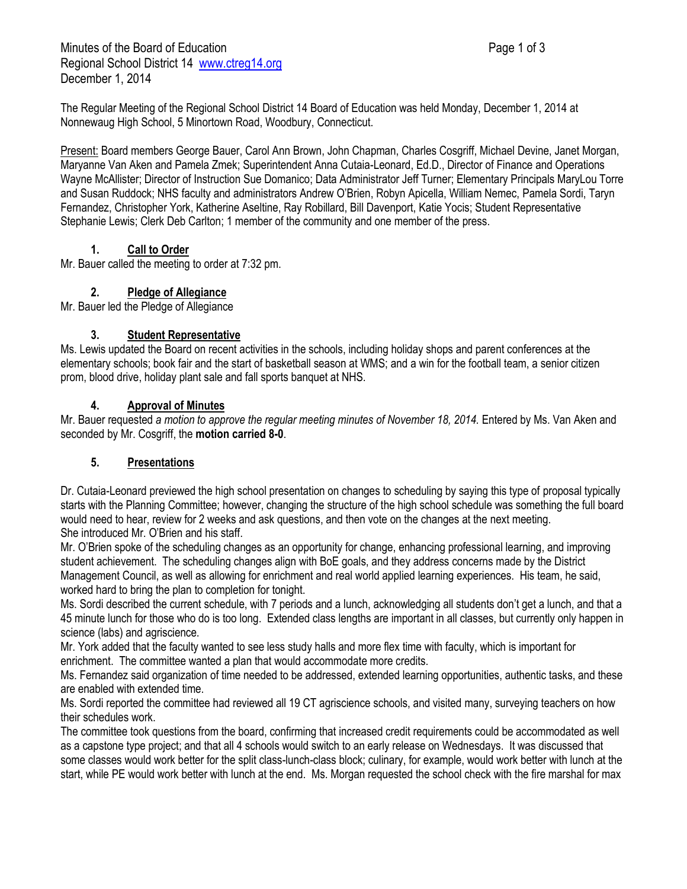Minutes of the Board of Education **Page 1 of 3** Page 1 of 3 Regional School District 14 [www.ctreg14.org](http://www.ctreg14.org/) December 1, 2014

The Regular Meeting of the Regional School District 14 Board of Education was held Monday, December 1, 2014 at Nonnewaug High School, 5 Minortown Road, Woodbury, Connecticut.

Present: Board members George Bauer, Carol Ann Brown, John Chapman, Charles Cosgriff, Michael Devine, Janet Morgan, Maryanne Van Aken and Pamela Zmek; Superintendent Anna Cutaia-Leonard, Ed.D., Director of Finance and Operations Wayne McAllister; Director of Instruction Sue Domanico; Data Administrator Jeff Turner; Elementary Principals MaryLou Torre and Susan Ruddock; NHS faculty and administrators Andrew O'Brien, Robyn Apicella, William Nemec, Pamela Sordi, Taryn Fernandez, Christopher York, Katherine Aseltine, Ray Robillard, Bill Davenport, Katie Yocis; Student Representative Stephanie Lewis; Clerk Deb Carlton; 1 member of the community and one member of the press.

## **1. Call to Order**

Mr. Bauer called the meeting to order at 7:32 pm.

# **2. Pledge of Allegiance**

Mr. Bauer led the Pledge of Allegiance

### **3. Student Representative**

Ms. Lewis updated the Board on recent activities in the schools, including holiday shops and parent conferences at the elementary schools; book fair and the start of basketball season at WMS; and a win for the football team, a senior citizen prom, blood drive, holiday plant sale and fall sports banquet at NHS.

### **4. Approval of Minutes**

Mr. Bauer requested *a motion to approve the regular meeting minutes of November 18, 2014.* Entered by Ms. Van Aken and seconded by Mr. Cosgriff, the **motion carried 8-0**.

## **5. Presentations**

Dr. Cutaia-Leonard previewed the high school presentation on changes to scheduling by saying this type of proposal typically starts with the Planning Committee; however, changing the structure of the high school schedule was something the full board would need to hear, review for 2 weeks and ask questions, and then vote on the changes at the next meeting. She introduced Mr. O'Brien and his staff.

Mr. O'Brien spoke of the scheduling changes as an opportunity for change, enhancing professional learning, and improving student achievement. The scheduling changes align with BoE goals, and they address concerns made by the District Management Council, as well as allowing for enrichment and real world applied learning experiences. His team, he said, worked hard to bring the plan to completion for tonight.

Ms. Sordi described the current schedule, with 7 periods and a lunch, acknowledging all students don't get a lunch, and that a 45 minute lunch for those who do is too long. Extended class lengths are important in all classes, but currently only happen in science (labs) and agriscience.

Mr. York added that the faculty wanted to see less study halls and more flex time with faculty, which is important for enrichment. The committee wanted a plan that would accommodate more credits.

Ms. Fernandez said organization of time needed to be addressed, extended learning opportunities, authentic tasks, and these are enabled with extended time.

Ms. Sordi reported the committee had reviewed all 19 CT agriscience schools, and visited many, surveying teachers on how their schedules work.

The committee took questions from the board, confirming that increased credit requirements could be accommodated as well as a capstone type project; and that all 4 schools would switch to an early release on Wednesdays. It was discussed that some classes would work better for the split class-lunch-class block; culinary, for example, would work better with lunch at the start, while PE would work better with lunch at the end. Ms. Morgan requested the school check with the fire marshal for max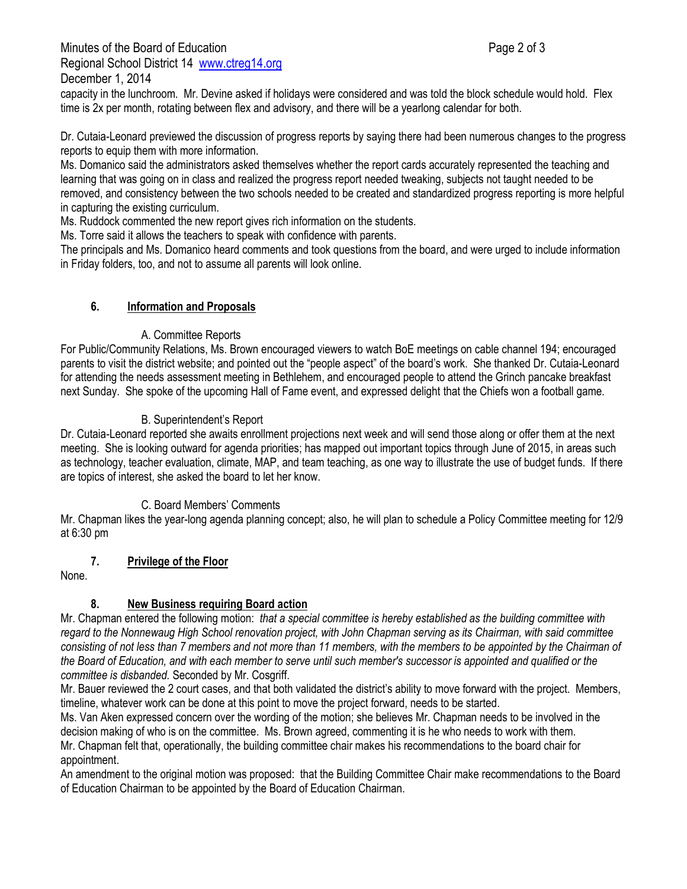Minutes of the Board of Education **Page 2 of 3** and 2 of 3 Regional School District 14 [www.ctreg14.org](http://www.ctreg14.org/) December 1, 2014

capacity in the lunchroom. Mr. Devine asked if holidays were considered and was told the block schedule would hold. Flex time is 2x per month, rotating between flex and advisory, and there will be a yearlong calendar for both.

Dr. Cutaia-Leonard previewed the discussion of progress reports by saying there had been numerous changes to the progress reports to equip them with more information.

Ms. Domanico said the administrators asked themselves whether the report cards accurately represented the teaching and learning that was going on in class and realized the progress report needed tweaking, subjects not taught needed to be removed, and consistency between the two schools needed to be created and standardized progress reporting is more helpful in capturing the existing curriculum.

Ms. Ruddock commented the new report gives rich information on the students.

Ms. Torre said it allows the teachers to speak with confidence with parents.

The principals and Ms. Domanico heard comments and took questions from the board, and were urged to include information in Friday folders, too, and not to assume all parents will look online.

### **6. Information and Proposals**

#### A. Committee Reports

For Public/Community Relations, Ms. Brown encouraged viewers to watch BoE meetings on cable channel 194; encouraged parents to visit the district website; and pointed out the "people aspect" of the board's work. She thanked Dr. Cutaia-Leonard for attending the needs assessment meeting in Bethlehem, and encouraged people to attend the Grinch pancake breakfast next Sunday. She spoke of the upcoming Hall of Fame event, and expressed delight that the Chiefs won a football game.

#### B. Superintendent's Report

Dr. Cutaia-Leonard reported she awaits enrollment projections next week and will send those along or offer them at the next meeting. She is looking outward for agenda priorities; has mapped out important topics through June of 2015, in areas such as technology, teacher evaluation, climate, MAP, and team teaching, as one way to illustrate the use of budget funds. If there are topics of interest, she asked the board to let her know.

#### C. Board Members' Comments

Mr. Chapman likes the year-long agenda planning concept; also, he will plan to schedule a Policy Committee meeting for 12/9 at 6:30 pm

## **7. Privilege of the Floor**

None.

## **8. New Business requiring Board action**

Mr. Chapman entered the following motion: *that a special committee is hereby established as the building committee with regard to the Nonnewaug High School renovation project, with John Chapman serving as its Chairman, with said committee consisting of not less than 7 members and not more than 11 members, with the members to be appointed by the Chairman of the Board of Education, and with each member to serve until such member's successor is appointed and qualified or the committee is disbanded.* Seconded by Mr. Cosgriff.

Mr. Bauer reviewed the 2 court cases, and that both validated the district's ability to move forward with the project. Members, timeline, whatever work can be done at this point to move the project forward, needs to be started.

Ms. Van Aken expressed concern over the wording of the motion; she believes Mr. Chapman needs to be involved in the decision making of who is on the committee. Ms. Brown agreed, commenting it is he who needs to work with them.

Mr. Chapman felt that, operationally, the building committee chair makes his recommendations to the board chair for appointment.

An amendment to the original motion was proposed: that the Building Committee Chair make recommendations to the Board of Education Chairman to be appointed by the Board of Education Chairman.